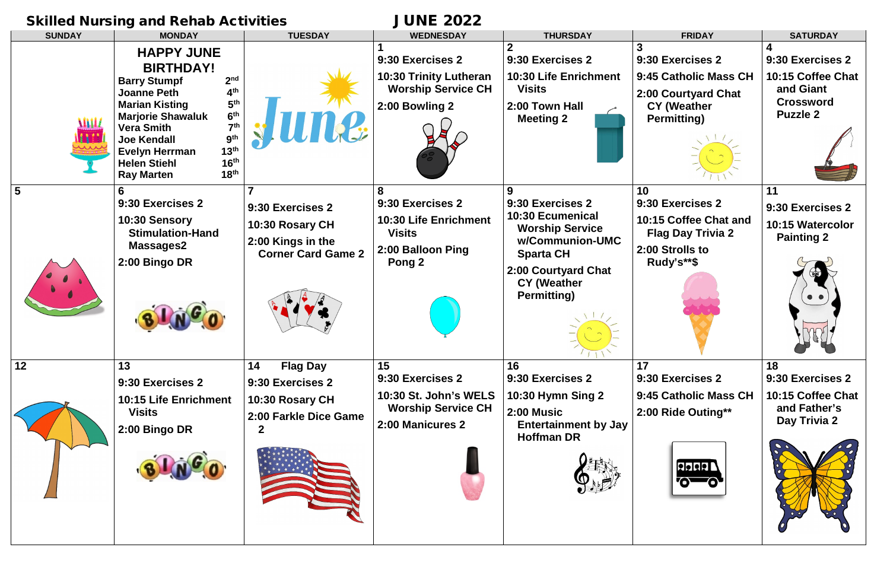## Skilled Nursing and Rehab Activities **JUNE 2022**

| <b>SUNDAY</b> | <b>MONDAY</b>                                                                                                                                                                                                                                                                                                                                                                                                      | <b>TUESDAY</b>                                                                                          | <b>WEDNESDAY</b>                                                                                             | <b>THURSDAY</b>                                                                                                                                                               | <b>FRIDAY</b>                                                                                                | <b>SATURDAY</b>                                                                           |
|---------------|--------------------------------------------------------------------------------------------------------------------------------------------------------------------------------------------------------------------------------------------------------------------------------------------------------------------------------------------------------------------------------------------------------------------|---------------------------------------------------------------------------------------------------------|--------------------------------------------------------------------------------------------------------------|-------------------------------------------------------------------------------------------------------------------------------------------------------------------------------|--------------------------------------------------------------------------------------------------------------|-------------------------------------------------------------------------------------------|
|               | <b>HAPPY JUNE</b><br><b>BIRTHDAY!</b><br>2 <sub>nd</sub><br><b>Barry Stumpf</b><br>4 <sup>th</sup><br><b>Joanne Peth</b><br>5 <sup>th</sup><br><b>Marian Kisting</b><br>6 <sup>th</sup><br><b>Marjorie Shawaluk</b><br>7 <sup>th</sup><br><b>Vera Smith</b><br><b>Joe Kendall</b><br>13 <sup>th</sup><br><b>Evelyn Herrman</b><br>16 <sup>th</sup><br><b>Helen Stiehl</b><br>18 <sup>th</sup><br><b>Ray Marten</b> | <b>ILIUXE</b>                                                                                           | 9:30 Exercises 2<br><b>10:30 Trinity Lutheran</b><br><b>Worship Service CH</b><br>2:00 Bowling 2             | 9:30 Exercises 2<br><b>10:30 Life Enrichment</b><br><b>Visits</b><br>2:00 Town Hall<br><b>Meeting 2</b>                                                                       | 9:30 Exercises 2<br>9:45 Catholic Mass CH<br>2:00 Courtyard Chat<br><b>CY (Weather</b><br><b>Permitting)</b> | 9:30 Exercises 2<br>10:15 Coffee Chat<br>and Giant<br><b>Crossword</b><br><b>Puzzle 2</b> |
| 5             | 6<br>9:30 Exercises 2<br>10:30 Sensory<br><b>Stimulation-Hand</b><br><b>Massages2</b><br>2:00 Bingo DR                                                                                                                                                                                                                                                                                                             | $\overline{7}$<br>9:30 Exercises 2<br>10:30 Rosary CH<br>2:00 Kings in the<br><b>Corner Card Game 2</b> | 8<br>9:30 Exercises 2<br><b>10:30 Life Enrichment</b><br><b>Visits</b><br>2:00 Balloon Ping<br><b>Pong 2</b> | 9<br>9:30 Exercises 2<br>10:30 Ecumenical<br><b>Worship Service</b><br>w/Communion-UMC<br><b>Sparta CH</b><br>2:00 Courtyard Chat<br><b>CY (Weather</b><br><b>Permitting)</b> | 10<br>9:30 Exercises 2<br>10:15 Coffee Chat and<br><b>Flag Day Trivia 2</b><br>2:00 Strolls to<br>Rudy's**\$ | 11<br>9:30 Exercises 2<br>10:15 Watercolor<br><b>Painting 2</b>                           |
| 12            | 13<br>9:30 Exercises 2<br><b>10:15 Life Enrichment</b><br><b>Visits</b><br>2:00 Bingo DR                                                                                                                                                                                                                                                                                                                           | 14<br><b>Flag Day</b><br>9:30 Exercises 2<br>10:30 Rosary CH<br>2:00 Farkle Dice Game                   | 15<br>9:30 Exercises 2<br>10:30 St. John's WELS<br><b>Worship Service CH</b><br>2:00 Manicures 2             | 16<br>9:30 Exercises 2<br><b>10:30 Hymn Sing 2</b><br>2:00 Music<br><b>Entertainment by Jay</b><br><b>Hoffman DR</b>                                                          | 17<br>9:30 Exercises 2<br>9:45 Catholic Mass CH<br>2:00 Ride Outing**<br><b>Relaia L</b>                     | 18<br>9:30 Exercises 2<br>10:15 Coffee Chat<br>and Father's<br>Day Trivia 2               |